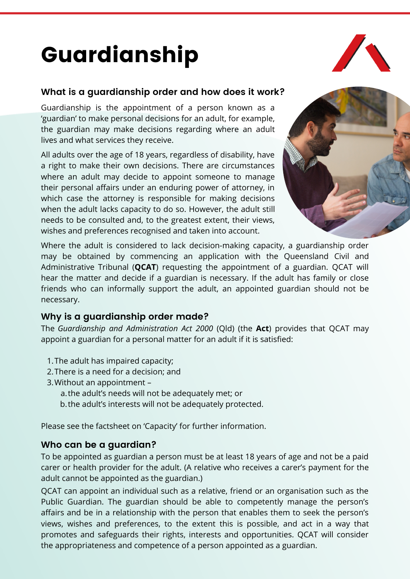# Guardianship

#### **What is a guardianship order and how does it work?**

Guardianship is the appointment of a person known as a 'guardian' to make personal decisions for an adult, for example, the guardian may make decisions regarding where an adult lives and what services they receive.

All adults over the age of 18 years, regardless of disability, have a right to make their own decisions. There are circumstances where an adult may decide to appoint someone to manage their personal affairs under an enduring power of attorney, in which case the attorney is responsible for making decisions when the adult lacks capacity to do so. However, the adult still needs to be consulted and, to the greatest extent, their views, wishes and preferences recognised and taken into account.



Where the adult is considered to lack decision-making capacity, a guardianship order may be obtained by commencing an application with the Queensland Civil and Administrative Tribunal (**QCAT**) requesting the appointment of a guardian. QCAT will hear the matter and decide if a guardian is necessary. If the adult has family or close friends who can informally support the adult, an appointed guardian should not be necessary.

#### **Why is a guardianship order made?**

The *Guardianship and Administration Act 2000* (Qld) (the **Act**) provides that QCAT may appoint a guardian for a personal matter for an adult if it is satisfied:

- 1. The adult has impaired capacity;
- 2.There is a need for a decision; and
- 3. Without an appointment
	- a.the adult's needs will not be adequately met; or
	- b. the adult's interests will not be adequately protected.

Please see the factsheet on 'Capacity' for further information.

#### **Who can be a guardian?**

To be appointed as guardian a person must be at least 18 years of age and not be a paid carer or health provider for the adult. (A relative who receives a carer's payment for the adult cannot be appointed as the guardian.)

QCAT can appoint an individual such as a relative, friend or an organisation such as the Public Guardian. The guardian should be able to competently manage the person's affairs and be in a relationship with the person that enables them to seek the person's views, wishes and preferences, to the extent this is possible, and act in a way that promotes and safeguards their rights, interests and opportunities. QCAT will consider the appropriateness and competence of a person appointed as a guardian.